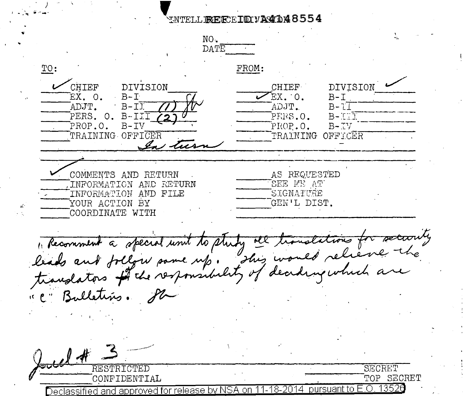## WTELLEECEIDYA4148554

NO. DATE TO: FROM: **CHIEF DIVISION CHIEF** DIVISION EX. O.  $B - I$  $\mathcal{F}_{\text{EX}}$  o.  $B-T$ ADJT.  $B-T\overline{T}$ ADJT.  $B - LI$  $B - ITT$ PERS. O. B-IIT PERS.O. PROP.O.  $B-TV$ PROP.O.  $B-TV$ TRAINING OFFICER TRAINING OFFICER  $\frac{d}{dx}$ AS REQUESTED COMMENTS AND RETURN SEE ME AT INFORMATION AND RETURN SIGNATURE INFORMATION AND FILE YOUR ACTION BY GEN'L DIST. COORDINATE WITH , Recomment a special unit to study see translations for secconity " C" Bulletins. Sh  $\mu$ RESTRICTED SECRET CONFIDENTIAL TOP SECRET pursuant to  $E.O.$  1352 $0$ Declassified and approved for release by NSA on -18-2014